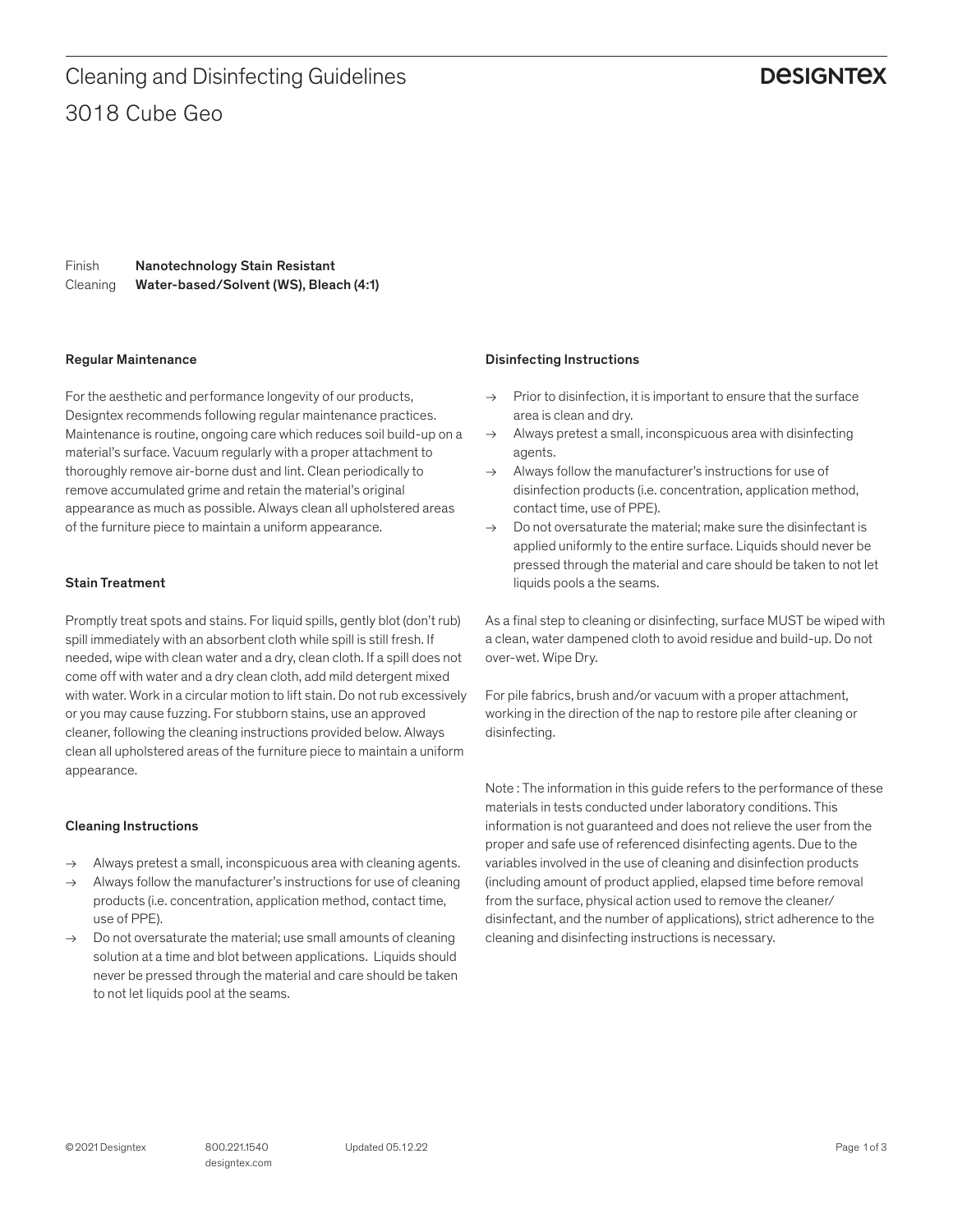3018 Cube Geo Cleaning and Disinfecting Guidelines

## **DESIGNTEX**

Finish Cleaning Nanotechnology Stain Resistant Water-based/Solvent (WS), Bleach (4:1)

#### Regular Maintenance

For the aesthetic and performance longevity of our products, Designtex recommends following regular maintenance practices. Maintenance is routine, ongoing care which reduces soil build-up on a material's surface. Vacuum regularly with a proper attachment to thoroughly remove air-borne dust and lint. Clean periodically to remove accumulated grime and retain the material's original appearance as much as possible. Always clean all upholstered areas of the furniture piece to maintain a uniform appearance.

#### Stain Treatment

Promptly treat spots and stains. For liquid spills, gently blot (don't rub) spill immediately with an absorbent cloth while spill is still fresh. If needed, wipe with clean water and a dry, clean cloth. If a spill does not come off with water and a dry clean cloth, add mild detergent mixed with water. Work in a circular motion to lift stain. Do not rub excessively or you may cause fuzzing. For stubborn stains, use an approved cleaner, following the cleaning instructions provided below. Always clean all upholstered areas of the furniture piece to maintain a uniform appearance.

#### Cleaning Instructions

- → Always pretest a small, inconspicuous area with cleaning agents.
- Always follow the manufacturer's instructions for use of cleaning products (i.e. concentration, application method, contact time, use of PPE).
- $\rightarrow$  Do not oversaturate the material; use small amounts of cleaning solution at a time and blot between applications. Liquids should never be pressed through the material and care should be taken to not let liquids pool at the seams.

#### Disinfecting Instructions

- $\rightarrow$  Prior to disinfection, it is important to ensure that the surface area is clean and dry.
- $\rightarrow$  Always pretest a small, inconspicuous area with disinfecting agents.
- $\rightarrow$  Always follow the manufacturer's instructions for use of disinfection products (i.e. concentration, application method, contact time, use of PPE).
- $\rightarrow$  Do not oversaturate the material: make sure the disinfectant is applied uniformly to the entire surface. Liquids should never be pressed through the material and care should be taken to not let liquids pools a the seams.

As a final step to cleaning or disinfecting, surface MUST be wiped with a clean, water dampened cloth to avoid residue and build-up. Do not over-wet. Wipe Dry.

For pile fabrics, brush and/or vacuum with a proper attachment, working in the direction of the nap to restore pile after cleaning or disinfecting.

Note : The information in this guide refers to the performance of these materials in tests conducted under laboratory conditions. This information is not guaranteed and does not relieve the user from the proper and safe use of referenced disinfecting agents. Due to the variables involved in the use of cleaning and disinfection products (including amount of product applied, elapsed time before removal from the surface, physical action used to remove the cleaner/ disinfectant, and the number of applications), strict adherence to the cleaning and disinfecting instructions is necessary.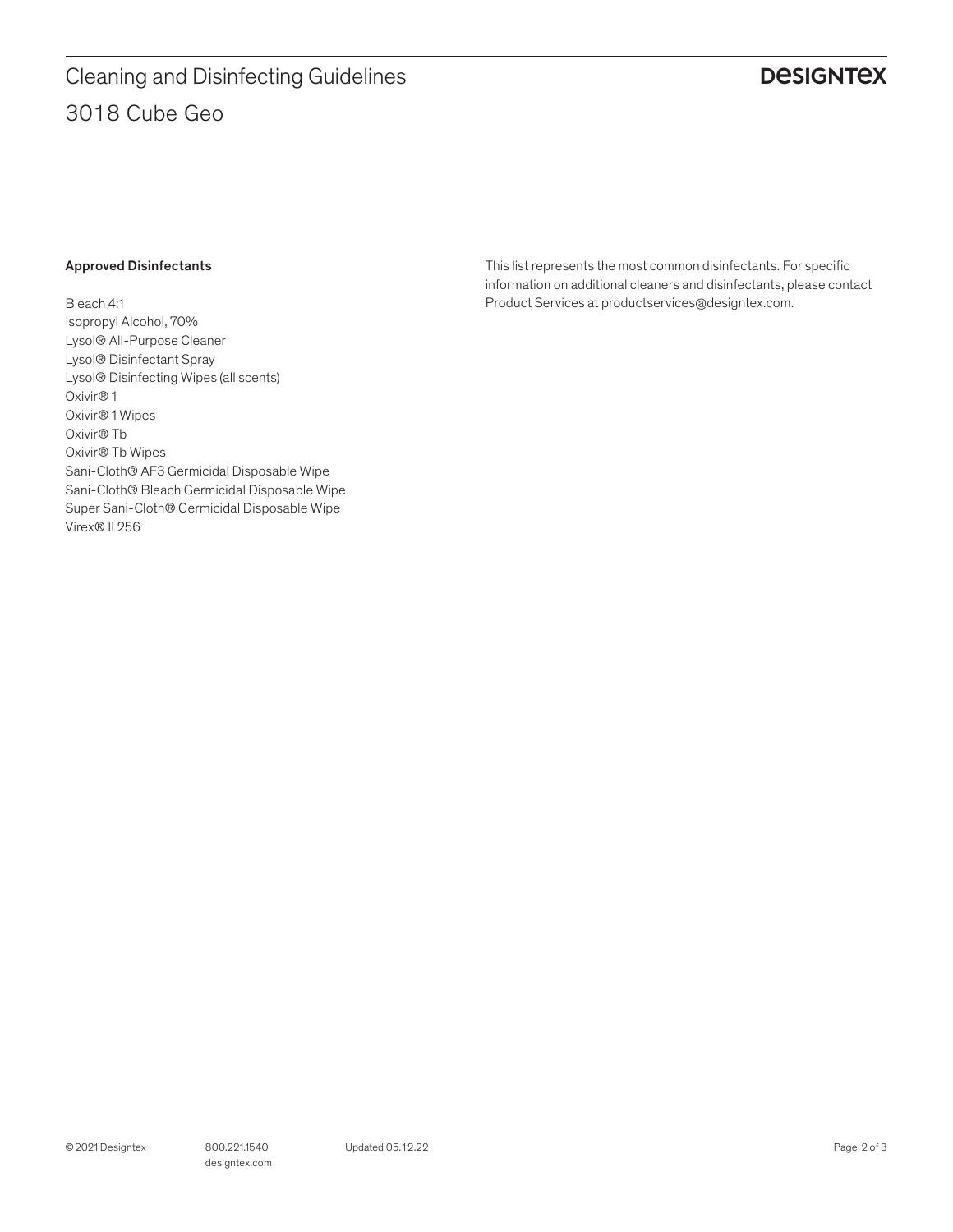# **DESIGNTEX**

#### Approved Disinfectants

Bleach 4:1 Isopropyl Alcohol, 70% Lysol® All-Purpose Cleaner Lysol® Disinfectant Spray Lysol® Disinfecting Wipes (all scents) Oxivir® 1 Oxivir® 1 Wipes Oxivir® Tb Oxivir® Tb Wipes Sani-Cloth® AF3 Germicidal Disposable Wipe Sani-Cloth® Bleach Germicidal Disposable Wipe Super Sani-Cloth® Germicidal Disposable Wipe Virex® II 256

This list represents the most common disinfectants. For specific information on additional cleaners and disinfectants, please contact Product Services at productservices@designtex.com.